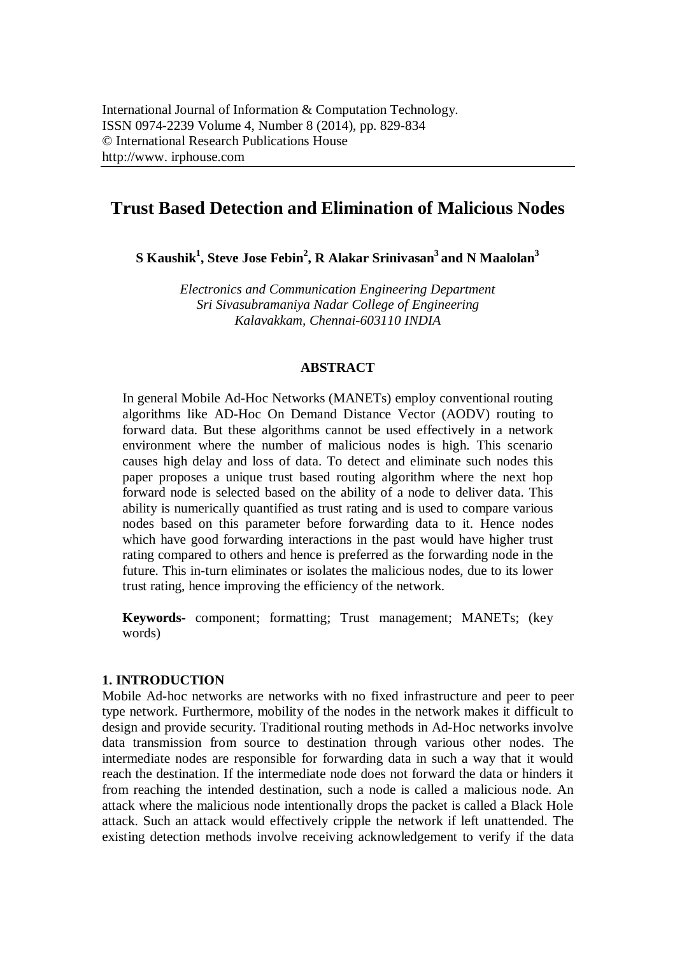# **Trust Based Detection and Elimination of Malicious Nodes**

**S Kaushik<sup>1</sup> , Steve Jose Febin<sup>2</sup> , R Alakar Srinivasan<sup>3</sup>and N Maalolan<sup>3</sup>**

*Electronics and Communication Engineering Department Sri Sivasubramaniya Nadar College of Engineering Kalavakkam, Chennai-603110 INDIA*

## **ABSTRACT**

In general Mobile Ad-Hoc Networks (MANETs) employ conventional routing algorithms like AD-Hoc On Demand Distance Vector (AODV) routing to forward data. But these algorithms cannot be used effectively in a network environment where the number of malicious nodes is high. This scenario causes high delay and loss of data. To detect and eliminate such nodes this paper proposes a unique trust based routing algorithm where the next hop forward node is selected based on the ability of a node to deliver data. This ability is numerically quantified as trust rating and is used to compare various nodes based on this parameter before forwarding data to it. Hence nodes which have good forwarding interactions in the past would have higher trust rating compared to others and hence is preferred as the forwarding node in the future. This in-turn eliminates or isolates the malicious nodes, due to its lower trust rating, hence improving the efficiency of the network.

**Keywords-** component; formatting; Trust management; MANETs; (key words)

## **1. INTRODUCTION**

Mobile Ad-hoc networks are networks with no fixed infrastructure and peer to peer type network. Furthermore, mobility of the nodes in the network makes it difficult to design and provide security. Traditional routing methods in Ad-Hoc networks involve data transmission from source to destination through various other nodes. The intermediate nodes are responsible for forwarding data in such a way that it would reach the destination. If the intermediate node does not forward the data or hinders it from reaching the intended destination, such a node is called a malicious node. An attack where the malicious node intentionally drops the packet is called a Black Hole attack. Such an attack would effectively cripple the network if left unattended. The existing detection methods involve receiving acknowledgement to verify if the data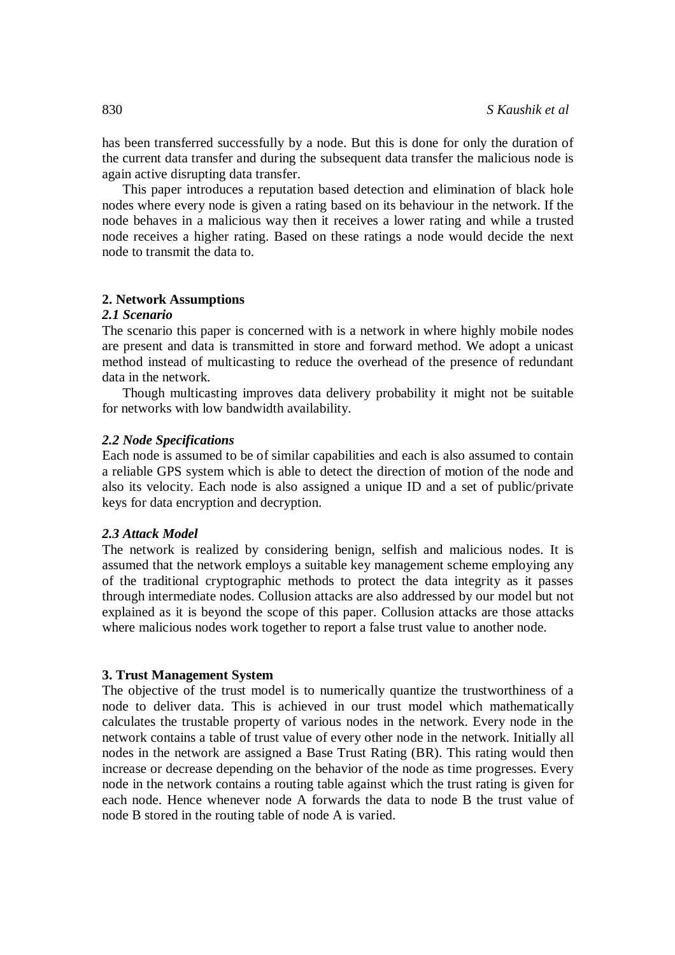has been transferred successfully by a node. But this is done for only the duration of the current data transfer and during the subsequent data transfer the malicious node is again active disrupting data transfer.

This paper introduces a reputation based detection and elimination of black hole nodes where every node is given a rating based on its behaviour in the network. If the node behaves in a malicious way then it receives a lower rating and while a trusted node receives a higher rating. Based on these ratings a node would decide the next node to transmit the data to.

#### **2. Network Assumptions**

#### *2.1 Scenario*

The scenario this paper is concerned with is a network in where highly mobile nodes are present and data is transmitted in store and forward method. We adopt a unicast method instead of multicasting to reduce the overhead of the presence of redundant data in the network.

Though multicasting improves data delivery probability it might not be suitable for networks with low bandwidth availability.

## *2.2 Node Specifications*

Each node is assumed to be of similar capabilities and each is also assumed to contain a reliable GPS system which is able to detect the direction of motion of the node and also its velocity. Each node is also assigned a unique ID and a set of public/private keys for data encryption and decryption.

#### *2.3 Attack Model*

The network is realized by considering benign, selfish and malicious nodes. It is assumed that the network employs a suitable key management scheme employing any of the traditional cryptographic methods to protect the data integrity as it passes through intermediate nodes. Collusion attacks are also addressed by our model but not explained as it is beyond the scope of this paper. Collusion attacks are those attacks where malicious nodes work together to report a false trust value to another node.

#### **3. Trust Management System**

The objective of the trust model is to numerically quantize the trustworthiness of a node to deliver data. This is achieved in our trust model which mathematically calculates the trustable property of various nodes in the network. Every node in the network contains a table of trust value of every other node in the network. Initially all nodes in the network are assigned a Base Trust Rating (BR). This rating would then increase or decrease depending on the behavior of the node as time progresses. Every node in the network contains a routing table against which the trust rating is given for each node. Hence whenever node A forwards the data to node B the trust value of node B stored in the routing table of node A is varied.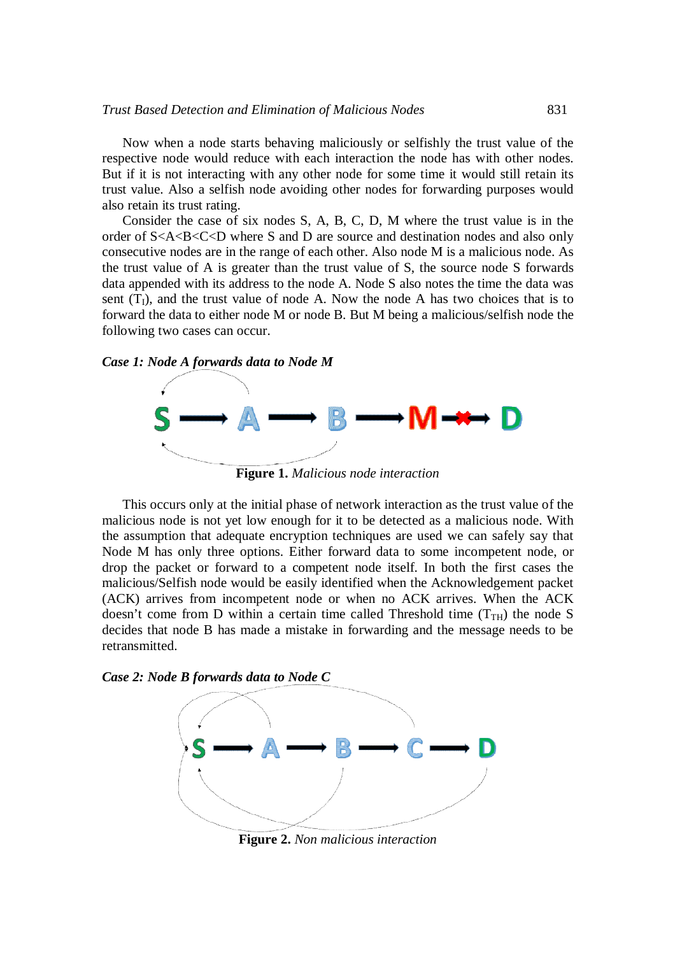Now when a node starts behaving maliciously or selfishly the trust value of the respective node would reduce with each interaction the node has with other nodes. But if it is not interacting with any other node for some time it would still retain its trust value. Also a selfish node avoiding other nodes for forwarding purposes would also retain its trust rating.

Consider the case of six nodes S, A, B, C, D, M where the trust value is in the order of S<A<B<C<D where S and D are source and destination nodes and also only consecutive nodes are in the range of each other. Also node M is a malicious node. As the trust value of A is greater than the trust value of S, the source node S forwards data appended with its address to the node A. Node S also notes the time the data was sent  $(T<sub>I</sub>)$ , and the trust value of node A. Now the node A has two choices that is to forward the data to either node M or node B. But M being a malicious/selfish node the following two cases can occur.

#### *Case 1: Node A forwards data to Node M*



**Figure 1.** *Malicious node interaction*

This occurs only at the initial phase of network interaction as the trust value of the malicious node is not yet low enough for it to be detected as a malicious node. With the assumption that adequate encryption techniques are used we can safely say that Node M has only three options. Either forward data to some incompetent node, or drop the packet or forward to a competent node itself. In both the first cases the malicious/Selfish node would be easily identified when the Acknowledgement packet (ACK) arrives from incompetent node or when no ACK arrives. When the ACK doesn't come from D within a certain time called Threshold time  $(T<sub>TH</sub>)$  the node S decides that node B has made a mistake in forwarding and the message needs to be retransmitted.





**Figure 2.** *Non malicious interaction*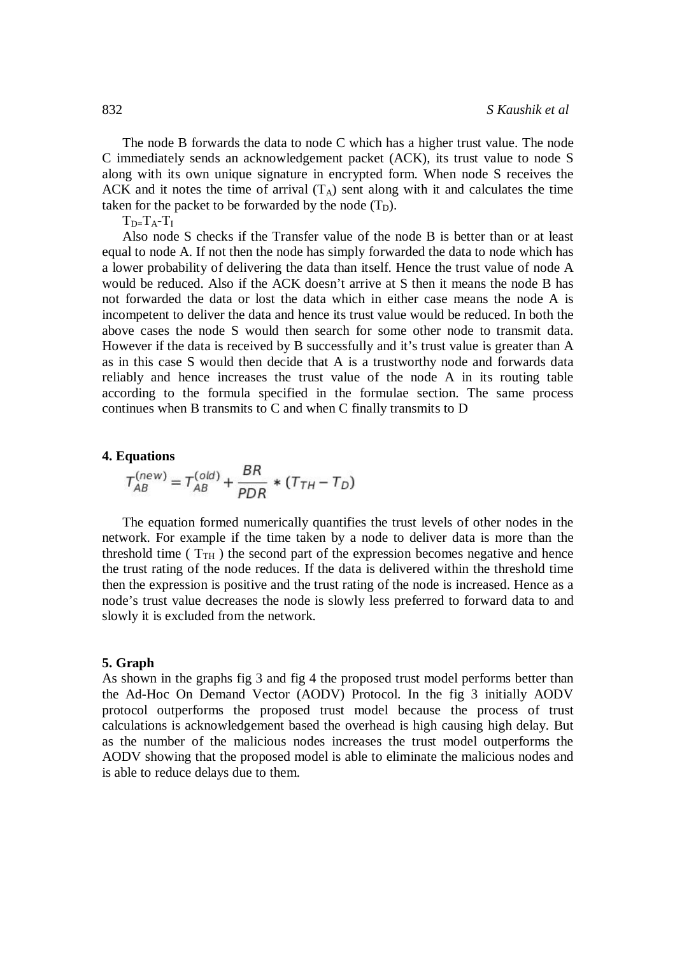The node B forwards the data to node C which has a higher trust value. The node C immediately sends an acknowledgement packet (ACK), its trust value to node S along with its own unique signature in encrypted form. When node S receives the ACK and it notes the time of arrival  $(T_A)$  sent along with it and calculates the time taken for the packet to be forwarded by the node  $(T_D)$ .

 $T_{D=}T_A-T_I$ 

Also node S checks if the Transfer value of the node B is better than or at least equal to node A. If not then the node has simply forwarded the data to node which has a lower probability of delivering the data than itself. Hence the trust value of node A would be reduced. Also if the ACK doesn't arrive at S then it means the node B has not forwarded the data or lost the data which in either case means the node A is incompetent to deliver the data and hence its trust value would be reduced. In both the above cases the node S would then search for some other node to transmit data. However if the data is received by B successfully and it's trust value is greater than A as in this case S would then decide that A is a trustworthy node and forwards data reliably and hence increases the trust value of the node A in its routing table according to the formula specified in the formulae section. The same process continues when B transmits to C and when C finally transmits to D

#### **4. Equations**

$$
T_{AB}^{(new)} = T_{AB}^{(old)} + \frac{BR}{PDR} * (T_{TH} - T_D)
$$

The equation formed numerically quantifies the trust levels of other nodes in the network. For example if the time taken by a node to deliver data is more than the threshold time ( $T<sub>TH</sub>$ ) the second part of the expression becomes negative and hence the trust rating of the node reduces. If the data is delivered within the threshold time then the expression is positive and the trust rating of the node is increased. Hence as a node's trust value decreases the node is slowly less preferred to forward data to and slowly it is excluded from the network.

#### **5. Graph**

As shown in the graphs fig 3 and fig 4 the proposed trust model performs better than the Ad-Hoc On Demand Vector (AODV) Protocol. In the fig 3 initially AODV protocol outperforms the proposed trust model because the process of trust calculations is acknowledgement based the overhead is high causing high delay. But as the number of the malicious nodes increases the trust model outperforms the AODV showing that the proposed model is able to eliminate the malicious nodes and is able to reduce delays due to them.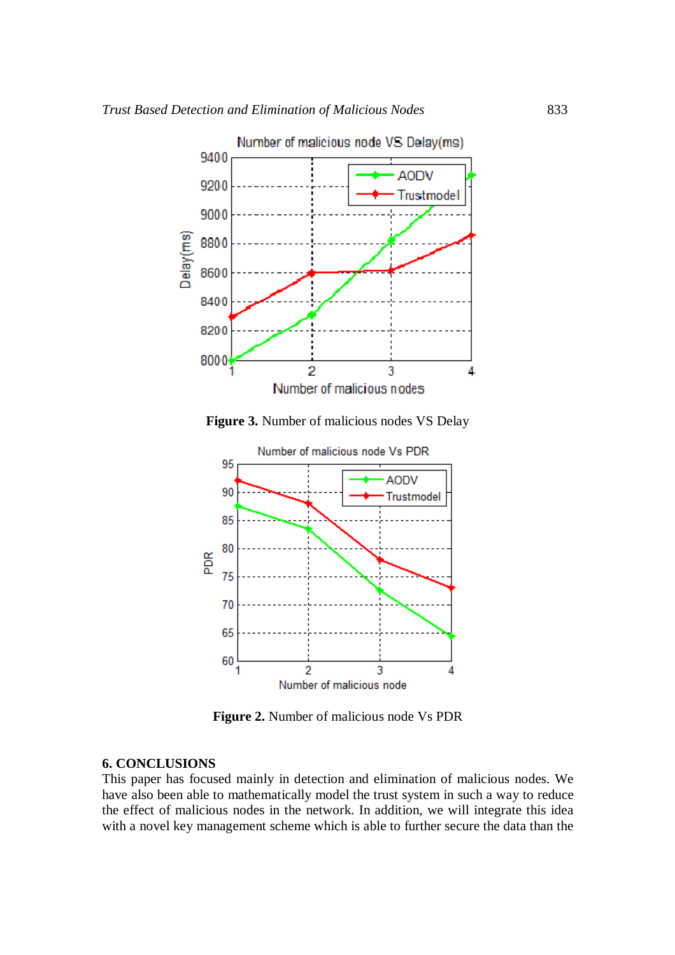

**Figure 3.** Number of malicious nodes VS Delay



**Figure 2.** Number of malicious node Vs PDR

## **6. CONCLUSIONS**

This paper has focused mainly in detection and elimination of malicious nodes. We have also been able to mathematically model the trust system in such a way to reduce the effect of malicious nodes in the network. In addition, we will integrate this idea with a novel key management scheme which is able to further secure the data than the